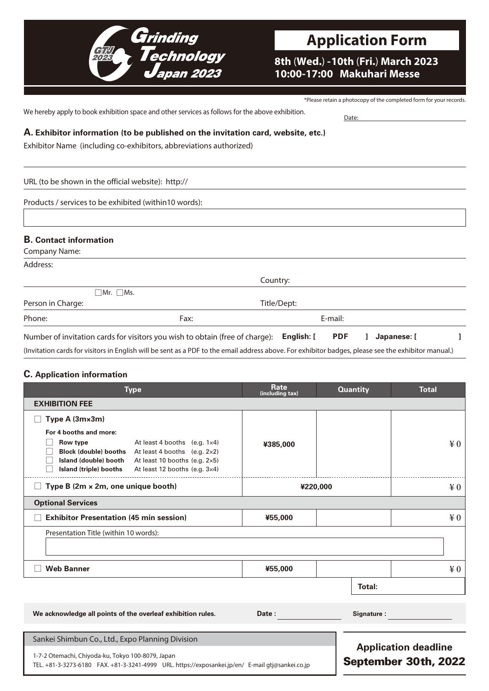

**Application Form**

**8th** (**Wed.**) **- 10th** (**Fri.**) **March 2023 10:00-17:00 Makuhari Messe**

\*Please retain a photocopy of the completed form for your records.

September 30th, 2022

We hereby apply to book exhibition space and other services as follows for the above exhibition. Date:

**A. Exhibitor information (to be published on the invitation card, website, etc.)**

Exhibitor Name (including co-exhibitors, abbreviations authorized)

URL (to be shown in the official website): http://

Products / services to be exhibited (within10 words):

## **B. Contact information**

Company Name:

Address:

|                   | Country:                                                                                                                                            |             |            |  |             |  |
|-------------------|-----------------------------------------------------------------------------------------------------------------------------------------------------|-------------|------------|--|-------------|--|
|                   | $\Box$ Mr. $\Box$ Ms.                                                                                                                               |             |            |  |             |  |
| Person in Charge: |                                                                                                                                                     | Title/Dept: |            |  |             |  |
| Phone:            | Fax:                                                                                                                                                | E-mail:     |            |  |             |  |
|                   | Number of invitation cards for visitors you wish to obtain (free of charge): English: [                                                             |             | <b>PDF</b> |  | Japanese: [ |  |
|                   | (Invitation cards for visitors in English will be sent as a PDF to the email address above. For exhibitor badges, please see the exhibitor manual.) |             |            |  |             |  |

## **C. Application information**

| <b>Type</b>                                                                                                                                                                                                                                                         | Rate<br>(including tax) | <b>Quantity</b>             | <b>Total</b> |  |  |  |  |  |
|---------------------------------------------------------------------------------------------------------------------------------------------------------------------------------------------------------------------------------------------------------------------|-------------------------|-----------------------------|--------------|--|--|--|--|--|
| <b>EXHIBITION FEE</b>                                                                                                                                                                                                                                               |                         |                             |              |  |  |  |  |  |
| Type A (3mx3m)                                                                                                                                                                                                                                                      |                         |                             |              |  |  |  |  |  |
| For 4 booths and more:<br>Row type<br>At least 4 booths (e.g. $1\times4$ )<br><b>Block (double) booths</b> At least 4 booths (e.g. $2 \times 2$ )<br>Island (double) booth At least 10 booths (e.g. 2×5)<br>At least 12 booths (e.g. 3×4)<br>Island (triple) booths | ¥385,000                |                             | $\angle 0$   |  |  |  |  |  |
| Type B (2m x 2m, one unique booth)                                                                                                                                                                                                                                  | ¥220,000                |                             | ¥0           |  |  |  |  |  |
| <b>Optional Services</b>                                                                                                                                                                                                                                            |                         |                             |              |  |  |  |  |  |
| <b>Exhibitor Presentation (45 min session)</b>                                                                                                                                                                                                                      | ¥55,000                 |                             | $\yen 0$     |  |  |  |  |  |
| Presentation Title (within 10 words):                                                                                                                                                                                                                               |                         |                             |              |  |  |  |  |  |
| <b>Web Banner</b>                                                                                                                                                                                                                                                   | ¥55,000                 |                             | $\angle 0$   |  |  |  |  |  |
|                                                                                                                                                                                                                                                                     |                         | Total:                      |              |  |  |  |  |  |
| We acknowledge all points of the overleaf exhibition rules.                                                                                                                                                                                                         | Date:                   | Signature:                  |              |  |  |  |  |  |
| Sankei Shimbun Co., Ltd., Expo Planning Division                                                                                                                                                                                                                    |                         | <b>Application deadline</b> |              |  |  |  |  |  |

1-7-2 Otemachi, Chiyoda-ku, Tokyo 100-8079, Japan

TEL. +81-3-3273-6180 FAX. +81-3-3241-4999 URL. https://exposankei.jp/en/ E-mail gtj@sankei.co.jp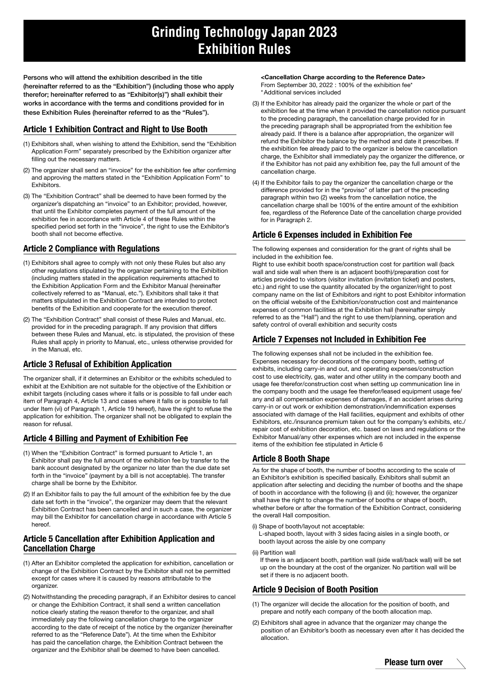# **Grinding Technology Japan 2023 Exhibition Rules**

Persons who will attend the exhibition described in the title (hereinafter referred to as the "Exhibition") (including those who apply therefor; hereinafter referred to as "Exhibitor(s)") shall exhibit their works in accordance with the terms and conditions provided for in these Exhibition Rules (hereinafter referred to as the "Rules").

## Article 1 Exhibition Contract and Right to Use Booth

- (1) Exhibitors shall, when wishing to attend the Exhibition, send the "Exhibition Application Form" separately prescribed by the Exhibition organizer after filling out the necessary matters.
- (2) The organizer shall send an "invoice" for the exhibition fee after confirming and approving the matters stated in the "Exhibition Application Form" to **Exhibitors**
- (3) The "Exhibition Contract" shall be deemed to have been formed by the organizer's dispatching an "invoice" to an Exhibitor; provided, however, that until the Exhibitor completes payment of the full amount of the exhibition fee in accordance with Article 4 of these Rules within the specified period set forth in the "invoice", the right to use the Exhibitor's booth shall not become effective.

## Article 2 Compliance with Regulations

- (1) Exhibitors shall agree to comply with not only these Rules but also any other regulations stipulated by the organizer pertaining to the Exhibition (including matters stated in the application requirements attached to the Exhibition Application Form and the Exhibitor Manual (hereinafter collectively referred to as "Manual, etc."). Exhibitors shall take it that matters stipulated in the Exhibition Contract are intended to protect benefits of the Exhibition and cooperate for the execution thereof.
- (2) The "Exhibition Contract" shall consist of these Rules and Manual, etc. provided for in the preceding paragraph. If any provision that differs between these Rules and Manual, etc. is stipulated, the provision of these Rules shall apply in priority to Manual, etc., unless otherwise provided for in the Manual, etc.

## Article 3 Refusal of Exhibition Application

The organizer shall, if it determines an Exhibitor or the exhibits scheduled to exhibit at the Exhibition are not suitable for the objective of the Exhibition or exhibit targets (including cases where it falls or is possible to fall under each item of Paragraph 4, Article 13 and cases where it falls or is possible to fall under Item (vi) of Paragraph 1, Article 19 hereof), have the right to refuse the application for exhibition. The organizer shall not be obligated to explain the reason for refusal.

## Article 4 Billing and Payment of Exhibition Fee

- (1) When the "Exhibition Contract" is formed pursuant to Article 1, an Exhibitor shall pay the full amount of the exhibition fee by transfer to the bank account designated by the organizer no later than the due date set forth in the "invoice" (payment by a bill is not acceptable). The transfer charge shall be borne by the Exhibitor.
- (2) If an Exhibitor fails to pay the full amount of the exhibition fee by the due date set forth in the "invoice", the organizer may deem that the relevant Exhibition Contract has been cancelled and in such a case, the organizer may bill the Exhibitor for cancellation charge in accordance with Article 5 hereof.

## Article 5 Cancellation after Exhibition Application and Cancellation Charge

- (1) After an Exhibitor completed the application for exhibition, cancellation or change of the Exhibition Contract by the Exhibitor shall not be permitted except for cases where it is caused by reasons attributable to the organizer.
- (2) Notwithstanding the preceding paragraph, if an Exhibitor desires to cancel or change the Exhibition Contract, it shall send a written cancellation notice clearly stating the reason therefor to the organizer, and shall immediately pay the following cancellation charge to the organizer according to the date of receipt of the notice by the organizer (hereinafter referred to as the "Reference Date"). At the time when the Exhibitor has paid the cancellation charge, the Exhibition Contract between the organizer and the Exhibitor shall be deemed to have been cancelled.

<Cancellation Charge according to the Reference Date> From September 30, 2022 : 100% of the exhibition fee\* \*Additional services included

- (3) If the Exhibitor has already paid the organizer the whole or part of the exhibition fee at the time when it provided the cancellation notice pursuant to the preceding paragraph, the cancellation charge provided for in the preceding paragraph shall be appropriated from the exhibition fee already paid. If there is a balance after appropriation, the organizer will refund the Exhibitor the balance by the method and date it prescribes. If the exhibition fee already paid to the organizer is below the cancellation charge, the Exhibitor shall immediately pay the organizer the difference, or if the Exhibitor has not paid any exhibition fee, pay the full amount of the cancellation charge.
- (4) If the Exhibitor fails to pay the organizer the cancellation charge or the difference provided for in the "proviso" of latter part of the preceding paragraph within two (2) weeks from the cancellation notice, the cancellation charge shall be 100% of the entire amount of the exhibition fee, regardless of the Reference Date of the cancellation charge provided for in Paragraph 2.

## Article 6 Expenses included in Exhibition Fee

The following expenses and consideration for the grant of rights shall be included in the exhibition fee.

Right to use exhibit booth space/construction cost for partition wall (back wall and side wall when there is an adjacent booth)/preparation cost for articles provided to visitors (visitor invitation (invitation ticket) and posters, etc.) and right to use the quantity allocated by the organizer/right to post company name on the list of Exhibitors and right to post Exhibitor information on the official website of the Exhibition/construction cost and maintenance expenses of common facilities at the Exhibition hall (hereinafter simply referred to as the "Hall") and the right to use them/planning, operation and safety control of overall exhibition and security costs

#### Article 7 Expenses not Included in Exhibition Fee

The following expenses shall not be included in the exhibition fee. Expenses necessary for decorations of the company booth, setting of exhibits, including carry-in and out, and operating expenses/construction cost to use electricity, gas, water and other utility in the company booth and usage fee therefor/construction cost when setting up communication line in the company booth and the usage fee therefor/leased equipment usage fee/ any and all compensation expenses of damages, if an accident arises during carry-in or out work or exhibition demonstration/indemnification expenses associated with damage of the Hall facilities, equipment and exhibits of other Exhibitors, etc./insurance premium taken out for the company's exhibits, etc./ repair cost of exhibition decoration, etc. based on laws and regulations or the Exhibitor Manual/any other expenses which are not included in the expense items of the exhibition fee stipulated in Article 6

#### Article 8 Booth Shape

As for the shape of booth, the number of booths according to the scale of an Exhibitor's exhibition is specified basically. Exhibitors shall submit an application after selecting and deciding the number of booths and the shape of booth in accordance with the following (i) and (ii); however, the organizer shall have the right to change the number of booths or shape of booth, whether before or after the formation of the Exhibition Contract, considering the overall Hall composition.

- (i) Shape of booth/layout not acceptable:
- L-shaped booth, layout with 3 sides facing aisles in a single booth, or booth layout across the aisle by one company
- (ii) Partition wall

If there is an adjacent booth, partition wall (side wall/back wall) will be set up on the boundary at the cost of the organizer. No partition wall will be set if there is no adjacent booth.

#### Article 9 Decision of Booth Position

- (1) The organizer will decide the allocation for the position of booth, and prepare and notify each company of the booth allocation map.
- (2) Exhibitors shall agree in advance that the organizer may change the position of an Exhibitor's booth as necessary even after it has decided the allocation.

Please turn over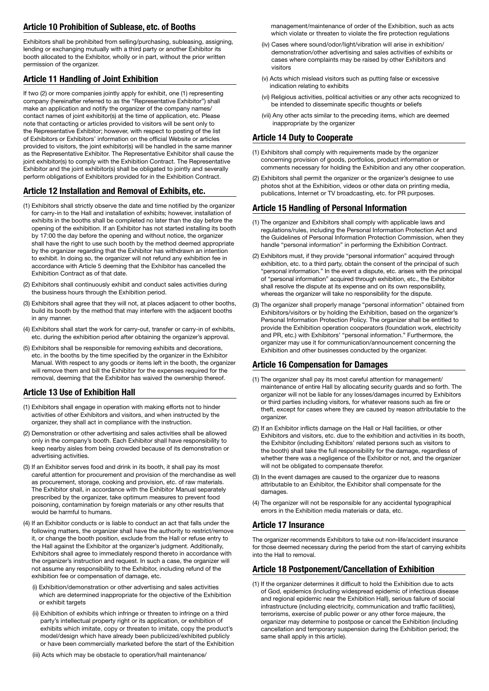## Article 10 Prohibition of Sublease, etc. of Booths

Exhibitors shall be prohibited from selling/purchasing, subleasing, assigning, lending or exchanging mutually with a third party or another Exhibitor its booth allocated to the Exhibitor, wholly or in part, without the prior written permission of the organizer.

## Article 11 Handling of Joint Exhibition

If two (2) or more companies jointly apply for exhibit, one (1) representing company (hereinafter referred to as the "Representative Exhibitor") shall make an application and notify the organizer of the company names/ contact names of joint exhibitor(s) at the time of application, etc. Please note that contacting or articles provided to visitors will be sent only to the Representative Exhibitor; however, with respect to posting of the list of Exhibitors or Exhibitors' information on the official Website or articles provided to visitors, the joint exhibitor(s) will be handled in the same manner as the Representative Exhibitor. The Representative Exhibitor shall cause the joint exhibitor(s) to comply with the Exhibition Contract. The Representative Exhibitor and the joint exhibitor(s) shall be obligated to jointly and severally perform obligations of Exhibitors provided for in the Exhibition Contract.

## Article 12 Installation and Removal of Exhibits, etc.

- (1) Exhibitors shall strictly observe the date and time notified by the organizer for carry-in to the Hall and installation of exhibits; however, installation of exhibits in the booths shall be completed no later than the day before the opening of the exhibition. If an Exhibitor has not started installing its booth by 17:00 the day before the opening and without notice, the organizer shall have the right to use such booth by the method deemed appropriate by the organizer regarding that the Exhibitor has withdrawn an intention to exhibit. In doing so, the organizer will not refund any exhibition fee in accordance with Article 5 deeming that the Exhibitor has cancelled the Exhibition Contract as of that date.
- (2) Exhibitors shall continuously exhibit and conduct sales activities during the business hours through the Exhibition period.
- (3) Exhibitors shall agree that they will not, at places adjacent to other booths, build its booth by the method that may interfere with the adjacent booths in any manner.
- (4) Exhibitors shall start the work for carry-out, transfer or carry-in of exhibits, etc. during the exhibition period after obtaining the organizer's approval.
- (5) Exhibitors shall be responsible for removing exhibits and decorations, etc. in the booths by the time specified by the organizer in the Exhibitor Manual. With respect to any goods or items left in the booth, the organizer will remove them and bill the Exhibitor for the expenses required for the removal, deeming that the Exhibitor has waived the ownership thereof.

## Article 13 Use of Exhibition Hall

- (1) Exhibitors shall engage in operation with making efforts not to hinder activities of other Exhibitors and visitors, and when instructed by the organizer, they shall act in compliance with the instruction.
- (2) Demonstration or other advertising and sales activities shall be allowed only in the company's booth. Each Exhibitor shall have responsibility to keep nearby aisles from being crowded because of its demonstration or advertising activities.
- (3) If an Exhibitor serves food and drink in its booth, it shall pay its most careful attention for procurement and provision of the merchandise as well as procurement, storage, cooking and provision, etc. of raw materials. The Exhibitor shall, in accordance with the Exhibitor Manual separately prescribed by the organizer, take optimum measures to prevent food poisoning, contamination by foreign materials or any other results that would be harmful to humans.
- (4) If an Exhibitor conducts or is liable to conduct an act that falls under the following matters, the organizer shall have the authority to restrict/remove it, or change the booth position, exclude from the Hall or refuse entry to the Hall against the Exhibitor at the organizer's judgment. Additionally, Exhibitors shall agree to immediately respond thereto in accordance with the organizer's instruction and request. In such a case, the organizer will not assume any responsibility to the Exhibitor, including refund of the exhibition fee or compensation of damage, etc.
	- (i) Exhibition/demonstration or other advertising and sales activities which are determined inappropriate for the objective of the Exhibition or exhibit targets
	- (ii) Exhibition of exhibits which infringe or threaten to infringe on a third party's intellectual property right or its application, or exhibition of exhibits which imitate, copy or threaten to imitate, copy the product's model/design which have already been publicized/exhibited publicly or have been commercially marketed before the start of the Exhibition

(iii) Acts which may be obstacle to operation/hall maintenance/

management/maintenance of order of the Exhibition, such as acts which violate or threaten to violate the fire protection regulations

- (iv) Cases where sound/odor/light/vibration will arise in exhibition/ demonstration/other advertising and sales activities of exhibits or cases where complaints may be raised by other Exhibitors and visitors
- (v) Acts which mislead visitors such as putting false or excessive indication relating to exhibits
- (vi) Religious activities, political activities or any other acts recognized to be intended to disseminate specific thoughts or beliefs
- (vii) Any other acts similar to the preceding items, which are deemed inappropriate by the organizer

## Article 14 Duty to Cooperate

- (1) Exhibitors shall comply with requirements made by the organizer concerning provision of goods, portfolios, product information or comments necessary for holding the Exhibition and any other cooperation.
- (2) Exhibitors shall permit the organizer or the organizer's designee to use photos shot at the Exhibition, videos or other data on printing media, publications, Internet or TV broadcasting, etc. for PR purposes.

#### Article 15 Handling of Personal Information

- (1) The organizer and Exhibitors shall comply with applicable laws and regulations/rules, including the Personal Information Protection Act and the Guidelines of Personal Information Protection Commission, when they handle "personal information" in performing the Exhibition Contract.
- (2) Exhibitors must, if they provide "personal information" acquired through exhibition, etc. to a third party, obtain the consent of the principal of such "personal information." In the event a dispute, etc. arises with the principal of "personal information" acquired through exhibition, etc., the Exhibitor shall resolve the dispute at its expense and on its own responsibility, whereas the organizer will take no responsibility for the dispute.
- (3) The organizer shall properly manage "personal information" obtained from Exhibitors/visitors or by holding the Exhibition, based on the organizer's Personal Information Protection Policy. The organizer shall be entitled to provide the Exhibition operation cooperators (foundation work, electricity and PR, etc.) with Exhibitors' "personal information." Furthermore, the organizer may use it for communication/announcement concerning the Exhibition and other businesses conducted by the organizer.

## Article 16 Compensation for Damages

- (1) The organizer shall pay its most careful attention for management/ maintenance of entire Hall by allocating security guards and so forth. The organizer will not be liable for any losses/damages incurred by Exhibitors or third parties including visitors, for whatever reasons such as fire or theft, except for cases where they are caused by reason attributable to the organizer.
- (2) If an Exhibitor inflicts damage on the Hall or Hall facilities, or other Exhibitors and visitors, etc. due to the exhibition and activities in its booth, the Exhibitor (including Exhibitors' related persons such as visitors to the booth) shall take the full responsibility for the damage, regardless of whether there was a negligence of the Exhibitor or not, and the organizer will not be obligated to compensate therefor.
- (3) In the event damages are caused to the organizer due to reasons attributable to an Exhibitor, the Exhibitor shall compensate for the damages
- (4) The organizer will not be responsible for any accidental typographical errors in the Exhibition media materials or data, etc.

## Article 17 Insurance

The organizer recommends Exhibitors to take out non-life/accident insurance for those deemed necessary during the period from the start of carrying exhibits into the Hall to removal.

#### Article 18 Postponement/Cancellation of Exhibition

(1) If the organizer determines it difficult to hold the Exhibition due to acts of God, epidemics (including widespread epidemic of infectious disease and regional epidemic near the Exhibition Hall), serious failure of social infrastructure (including electricity, communication and traffic facilities), terrorisms, exercise of public power or any other force majeure, the organizer may determine to postpose or cancel the Exhibition (including cancellation and temporary suspension during the Exhibition period; the same shall apply in this article).